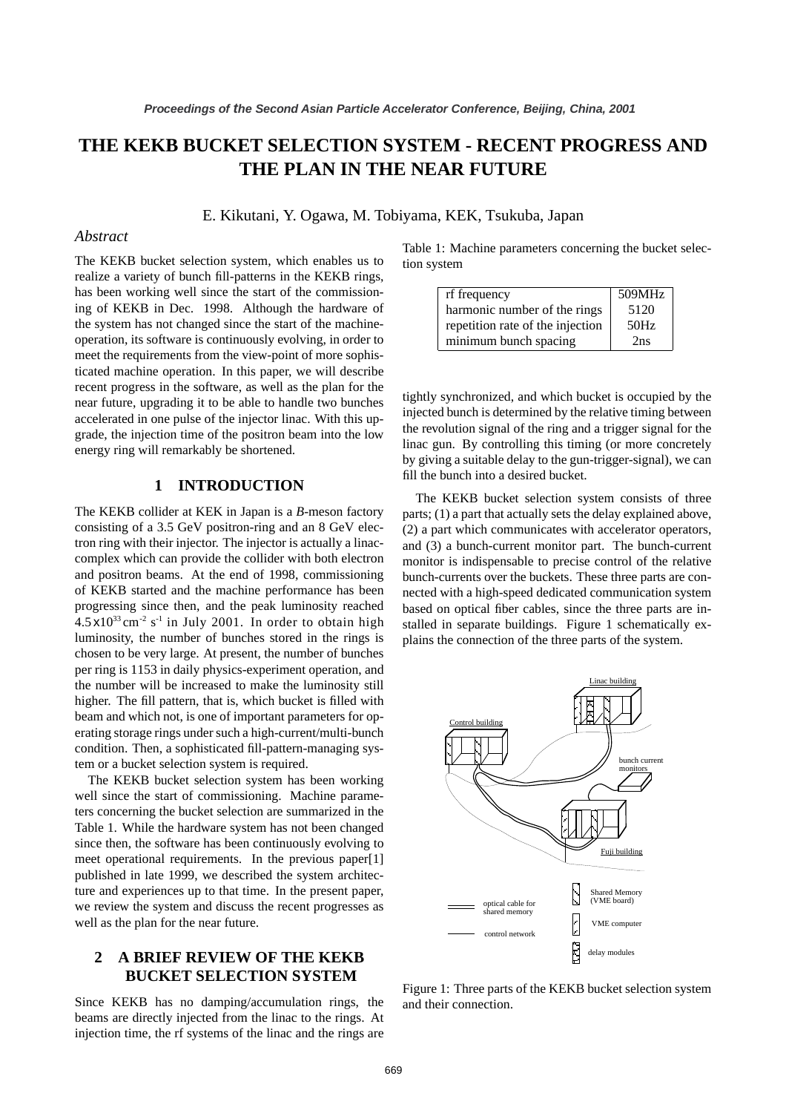# **THE KEKB BUCKET SELECTION SYSTEM - RECENT PROGRESS AND THE PLAN IN THE NEAR FUTURE**

E. Kikutani, Y. Ogawa, M. Tobiyama, KEK, Tsukuba, Japan

#### *Abstract*

The KEKB bucket selection system, which enables us to realize a variety of bunch fill-patterns in the KEKB rings, has been working well since the start of the commissioning of KEKB in Dec. 1998. Although the hardware of the system has not changed since the start of the machineoperation, its software is continuously evolving, in order to meet the requirements from the view-point of more sophisticated machine operation. In this paper, we will describe recent progress in the software, as well as the plan for the near future, upgrading it to be able to handle two bunches accelerated in one pulse of the injector linac. With this upgrade, the injection time of the positron beam into the low energy ring will remarkably be shortened.

### **1 INTRODUCTION**

The KEKB collider at KEK in Japan is a *B*-meson factory consisting of a 3.5 GeV positron-ring and an 8 GeV electron ring with their injector. The injector is actually a linaccomplex which can provide the collider with both electron and positron beams. At the end of 1998, commissioning of KEKB started and the machine performance has been progressing since then, and the peak luminosity reached  $4.5 \times 10^{33}$  cm<sup>-2</sup> s<sup>-1</sup> in July 2001. In order to obtain high luminosity, the number of bunches stored in the rings is chosen to be very large. At present, the number of bunches per ring is 1153 in daily physics-experiment operation, and the number will be increased to make the luminosity still higher. The fill pattern, that is, which bucket is filled with beam and which not, is one of important parameters for operating storage rings under such a high-current/multi-bunch condition. Then, a sophisticated fill-pattern-managing system or a bucket selection system is required.

The KEKB bucket selection system has been working well since the start of commissioning. Machine parameters concerning the bucket selection are summarized in the Table 1. While the hardware system has not been changed since then, the software has been continuously evolving to meet operational requirements. In the previous paper[1] published in late 1999, we described the system architecture and experiences up to that time. In the present paper, we review the system and discuss the recent progresses as well as the plan for the near future.

## **2 A BRIEF REVIEW OF THE KEKB BUCKET SELECTION SYSTEM**

Since KEKB has no damping/accumulation rings, the beams are directly injected from the linac to the rings. At injection time, the rf systems of the linac and the rings are Table 1: Machine parameters concerning the bucket selection system

| rf frequency                     | 509MHz |
|----------------------------------|--------|
| harmonic number of the rings     | 5120   |
| repetition rate of the injection | 50Hz   |
| minimum bunch spacing            | 2ns    |

tightly synchronized, and which bucket is occupied by the injected bunch is determined by the relative timing between the revolution signal of the ring and a trigger signal for the linac gun. By controlling this timing (or more concretely by giving a suitable delay to the gun-trigger-signal), we can fill the bunch into a desired bucket.

The KEKB bucket selection system consists of three parts; (1) a part that actually sets the delay explained above, (2) a part which communicates with accelerator operators, and (3) a bunch-current monitor part. The bunch-current monitor is indispensable to precise control of the relative bunch-currents over the buckets. These three parts are connected with a high-speed dedicated communication system based on optical fiber cables, since the three parts are installed in separate buildings. Figure 1 schematically explains the connection of the three parts of the system.



Figure 1: Three parts of the KEKB bucket selection system and their connection.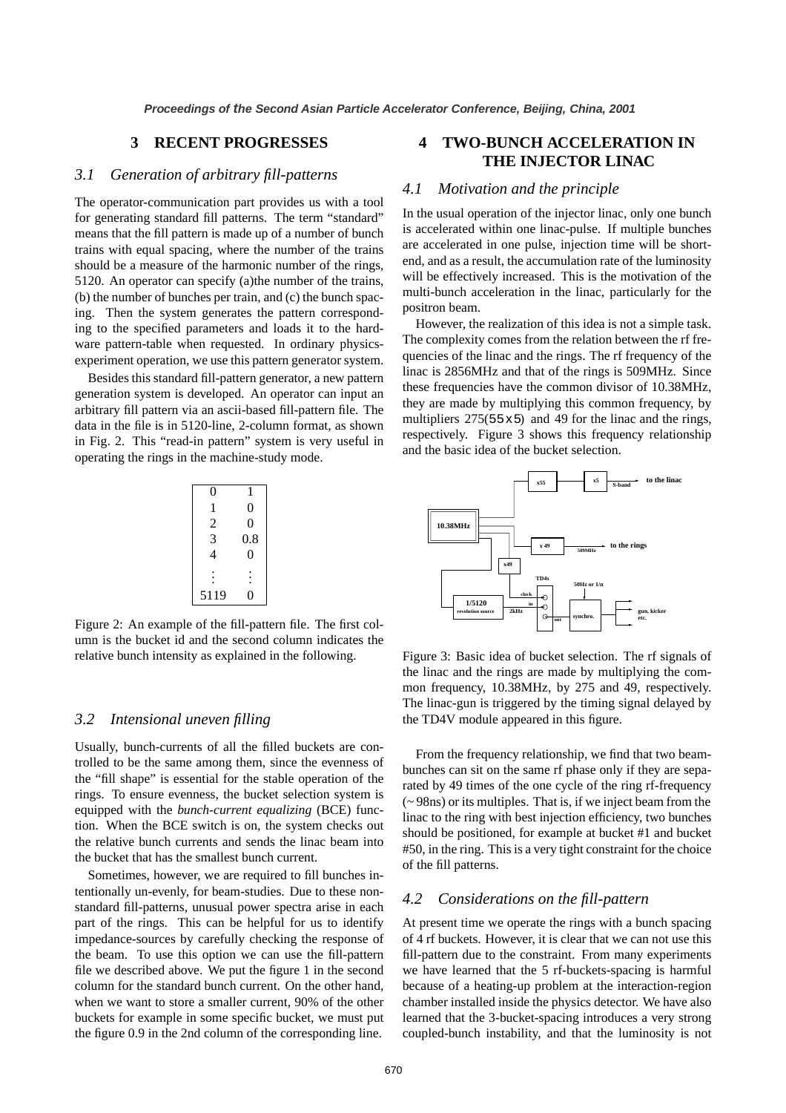### **3 RECENT PROGRESSES**

### *3.1 Generation of arbitrary fill-patterns*

The operator-communication part provides us with a tool for generating standard fill patterns. The term "standard" means that the fill pattern is made up of a number of bunch trains with equal spacing, where the number of the trains should be a measure of the harmonic number of the rings, 5120. An operator can specify (a)the number of the trains, (b) the number of bunches per train, and (c) the bunch spacing. Then the system generates the pattern corresponding to the specified parameters and loads it to the hardware pattern-table when requested. In ordinary physicsexperiment operation, we use this pattern generator system.

Besides this standard fill-pattern generator, a new pattern generation system is developed. An operator can input an arbitrary fill pattern via an ascii-based fill-pattern file. The data in the file is in 5120-line, 2-column format, as shown in Fig. 2. This "read-in pattern" system is very useful in operating the rings in the machine-study mode.

| 0             | 1              |
|---------------|----------------|
| 1             | 0              |
|               | $\overline{0}$ |
| $\frac{2}{3}$ | 0.8            |
| 4             | 0              |
|               |                |
| 5119          |                |

Figure 2: An example of the fill-pattern file. The first column is the bucket id and the second column indicates the relative bunch intensity as explained in the following.

### *3.2 Intensional uneven filling*

Usually, bunch-currents of all the filled buckets are controlled to be the same among them, since the evenness of the "fill shape" is essential for the stable operation of the rings. To ensure evenness, the bucket selection system is equipped with the *bunch-current equalizing* (BCE) function. When the BCE switch is on, the system checks out the relative bunch currents and sends the linac beam into the bucket that has the smallest bunch current.

Sometimes, however, we are required to fill bunches intentionally un-evenly, for beam-studies. Due to these nonstandard fill-patterns, unusual power spectra arise in each part of the rings. This can be helpful for us to identify impedance-sources by carefully checking the response of the beam. To use this option we can use the fill-pattern file we described above. We put the figure 1 in the second column for the standard bunch current. On the other hand, when we want to store a smaller current, 90% of the other buckets for example in some specific bucket, we must put the figure 0.9 in the 2nd column of the corresponding line.

### **4 TWO-BUNCH ACCELERATION IN THE INJECTOR LINAC**

### *4.1 Motivation and the principle*

In the usual operation of the injector linac, only one bunch is accelerated within one linac-pulse. If multiple bunches are accelerated in one pulse, injection time will be shortend, and as a result, the accumulation rate of the luminosity will be effectively increased. This is the motivation of the multi-bunch acceleration in the linac, particularly for the positron beam.

However, the realization of this idea is not a simple task. The complexity comes from the relation between the rf frequencies of the linac and the rings. The rf frequency of the linac is 2856MHz and that of the rings is 509MHz. Since these frequencies have the common divisor of 10.38MHz, they are made by multiplying this common frequency, by multipliers 275(55 $\times$ 5) and 49 for the linac and the rings, respectively. Figure 3 shows this frequency relationship and the basic idea of the bucket selection.



Figure 3: Basic idea of bucket selection. The rf signals of the linac and the rings are made by multiplying the common frequency, 10.38MHz, by 275 and 49, respectively. The linac-gun is triggered by the timing signal delayed by the TD4V module appeared in this figure.

From the frequency relationship, we find that two beambunches can sit on the same rf phase only if they are separated by 49 times of the one cycle of the ring rf-frequency (~ 98ns) or its multiples. That is, if we inject beam from the linac to the ring with best injection efficiency, two bunches should be positioned, for example at bucket #1 and bucket #50, in the ring. This is a very tight constraint for the choice of the fill patterns.

#### *4.2 Considerations on the fill-pattern*

At present time we operate the rings with a bunch spacing of 4 rf buckets. However, it is clear that we can not use this fill-pattern due to the constraint. From many experiments we have learned that the 5 rf-buckets-spacing is harmful because of a heating-up problem at the interaction-region chamber installed inside the physics detector. We have also learned that the 3-bucket-spacing introduces a very strong coupled-bunch instability, and that the luminosity is not